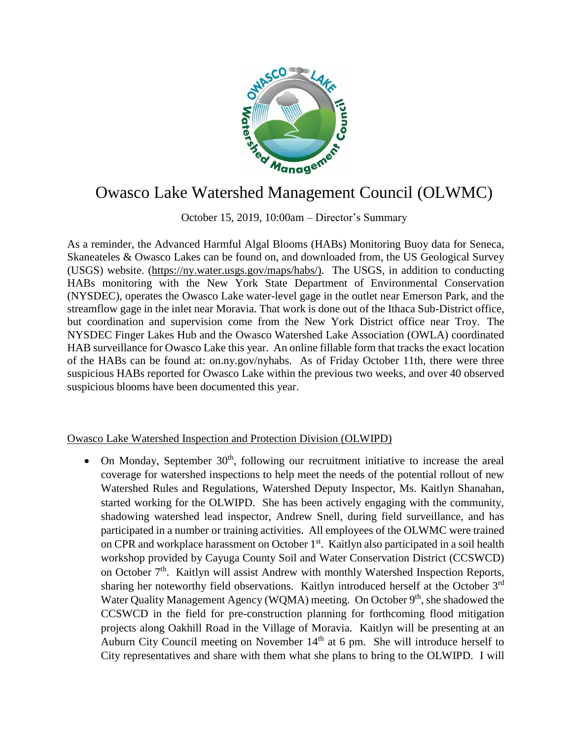

## Owasco Lake Watershed Management Council (OLWMC)

October 15, 2019, 10:00am – Director's Summary

As a reminder, the Advanced Harmful Algal Blooms (HABs) Monitoring Buoy data for Seneca, Skaneateles & Owasco Lakes can be found on, and downloaded from, the US Geological Survey (USGS) website. [\(https://ny.water.usgs.gov/maps/habs/\)](https://ny.water.usgs.gov/maps/habs/). The USGS, in addition to conducting HABs monitoring with the New York State Department of Environmental Conservation (NYSDEC), operates the Owasco Lake water-level gage in the outlet near Emerson Park, and the streamflow gage in the inlet near Moravia. That work is done out of the Ithaca Sub-District office, but coordination and supervision come from the New York District office near Troy. The NYSDEC Finger Lakes Hub and the Owasco Watershed Lake Association (OWLA) coordinated HAB surveillance for Owasco Lake this year. An online fillable form that tracks the exact location of the HABs can be found at: on.ny.gov/nyhabs. As of Friday October 11th, there were three suspicious HABs reported for Owasco Lake within the previous two weeks, and over 40 observed suspicious blooms have been documented this year.

## Owasco Lake Watershed Inspection and Protection Division (OLWIPD)

• On Monday, September  $30<sup>th</sup>$ , following our recruitment initiative to increase the areal coverage for watershed inspections to help meet the needs of the potential rollout of new Watershed Rules and Regulations, Watershed Deputy Inspector, Ms. Kaitlyn Shanahan, started working for the OLWIPD. She has been actively engaging with the community, shadowing watershed lead inspector, Andrew Snell, during field surveillance, and has participated in a number or training activities. All employees of the OLWMC were trained on CPR and workplace harassment on October 1<sup>st</sup>. Kaitlyn also participated in a soil health workshop provided by Cayuga County Soil and Water Conservation District (CCSWCD) on October 7<sup>th</sup>. Kaitlyn will assist Andrew with monthly Watershed Inspection Reports, sharing her noteworthy field observations. Kaitlyn introduced herself at the October 3<sup>rd</sup> Water Quality Management Agency (WQMA) meeting. On October 9<sup>th</sup>, she shadowed the CCSWCD in the field for pre-construction planning for forthcoming flood mitigation projects along Oakhill Road in the Village of Moravia. Kaitlyn will be presenting at an Auburn City Council meeting on November  $14<sup>th</sup>$  at 6 pm. She will introduce herself to City representatives and share with them what she plans to bring to the OLWIPD. I will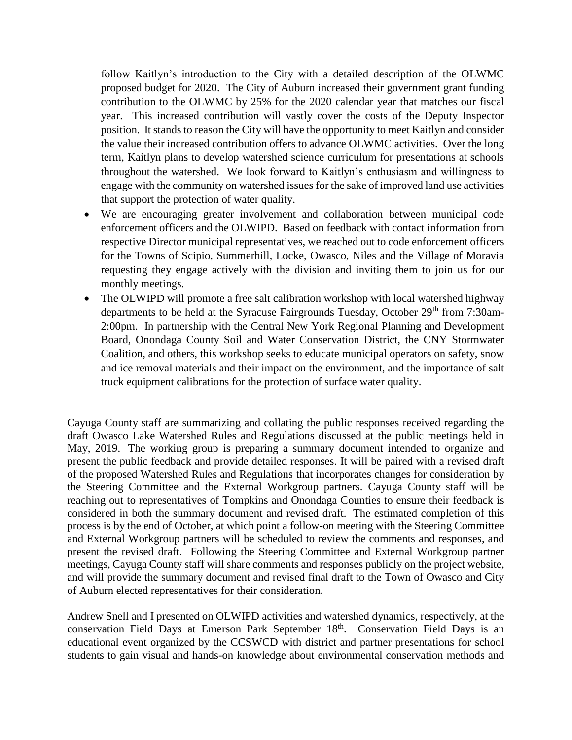follow Kaitlyn's introduction to the City with a detailed description of the OLWMC proposed budget for 2020. The City of Auburn increased their government grant funding contribution to the OLWMC by 25% for the 2020 calendar year that matches our fiscal year. This increased contribution will vastly cover the costs of the Deputy Inspector position. It stands to reason the City will have the opportunity to meet Kaitlyn and consider the value their increased contribution offers to advance OLWMC activities. Over the long term, Kaitlyn plans to develop watershed science curriculum for presentations at schools throughout the watershed. We look forward to Kaitlyn's enthusiasm and willingness to engage with the community on watershed issues for the sake of improved land use activities that support the protection of water quality.

- We are encouraging greater involvement and collaboration between municipal code enforcement officers and the OLWIPD. Based on feedback with contact information from respective Director municipal representatives, we reached out to code enforcement officers for the Towns of Scipio, Summerhill, Locke, Owasco, Niles and the Village of Moravia requesting they engage actively with the division and inviting them to join us for our monthly meetings.
- The OLWIPD will promote a free salt calibration workshop with local watershed highway departments to be held at the Syracuse Fairgrounds Tuesday, October 29<sup>th</sup> from 7:30am-2:00pm. In partnership with the Central New York Regional Planning and Development Board, Onondaga County Soil and Water Conservation District, the CNY Stormwater Coalition, and others, this workshop seeks to educate municipal operators on safety, snow and ice removal materials and their impact on the environment, and the importance of salt truck equipment calibrations for the protection of surface water quality.

Cayuga County staff are summarizing and collating the public responses received regarding the draft Owasco Lake Watershed Rules and Regulations discussed at the public meetings held in May, 2019. The working group is preparing a summary document intended to organize and present the public feedback and provide detailed responses. It will be paired with a revised draft of the proposed Watershed Rules and Regulations that incorporates changes for consideration by the Steering Committee and the External Workgroup partners. Cayuga County staff will be reaching out to representatives of Tompkins and Onondaga Counties to ensure their feedback is considered in both the summary document and revised draft. The estimated completion of this process is by the end of October, at which point a follow-on meeting with the Steering Committee and External Workgroup partners will be scheduled to review the comments and responses, and present the revised draft. Following the Steering Committee and External Workgroup partner meetings, Cayuga County staff will share comments and responses publicly on the project website, and will provide the summary document and revised final draft to the Town of Owasco and City of Auburn elected representatives for their consideration.

Andrew Snell and I presented on OLWIPD activities and watershed dynamics, respectively, at the conservation Field Days at Emerson Park September 18<sup>th</sup>. Conservation Field Days is an educational event organized by the CCSWCD with district and partner presentations for school students to gain visual and hands-on knowledge about environmental conservation methods and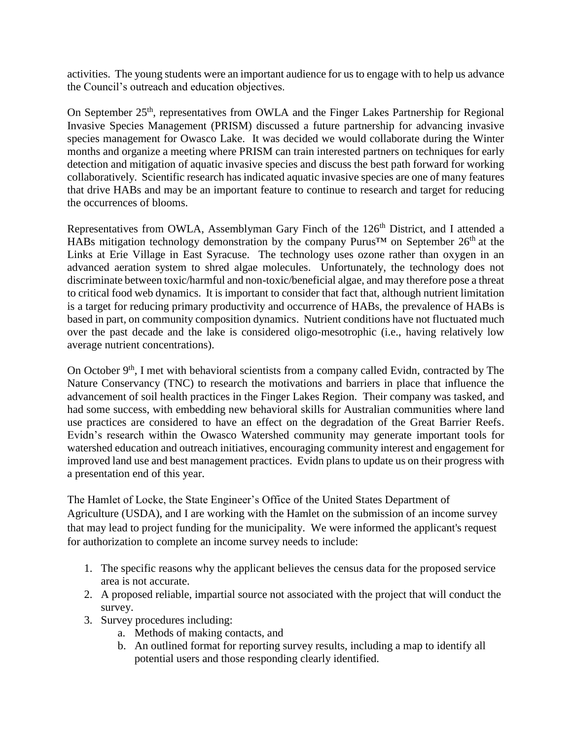activities. The young students were an important audience for us to engage with to help us advance the Council's outreach and education objectives.

On September 25<sup>th</sup>, representatives from OWLA and the Finger Lakes Partnership for Regional Invasive Species Management (PRISM) discussed a future partnership for advancing invasive species management for Owasco Lake. It was decided we would collaborate during the Winter months and organize a meeting where PRISM can train interested partners on techniques for early detection and mitigation of aquatic invasive species and discuss the best path forward for working collaboratively. Scientific research has indicated aquatic invasive species are one of many features that drive HABs and may be an important feature to continue to research and target for reducing the occurrences of blooms.

Representatives from OWLA, Assemblyman Gary Finch of the 126<sup>th</sup> District, and I attended a HABs mitigation technology demonstration by the company Purus<sup>™</sup> on September 26<sup>th</sup> at the Links at Erie Village in East Syracuse. The technology uses ozone rather than oxygen in an advanced aeration system to shred algae molecules. Unfortunately, the technology does not discriminate between toxic/harmful and non-toxic/beneficial algae, and may therefore pose a threat to critical food web dynamics. It is important to consider that fact that, although nutrient limitation is a target for reducing primary productivity and occurrence of HABs, the prevalence of HABs is based in part, on community composition dynamics. Nutrient conditions have not fluctuated much over the past decade and the lake is considered oligo-mesotrophic (i.e., having relatively low average nutrient concentrations).

On October  $9<sup>th</sup>$ , I met with behavioral scientists from a company called Evidn, contracted by The Nature Conservancy (TNC) to research the motivations and barriers in place that influence the advancement of soil health practices in the Finger Lakes Region. Their company was tasked, and had some success, with embedding new behavioral skills for Australian communities where land use practices are considered to have an effect on the degradation of the Great Barrier Reefs. Evidn's research within the Owasco Watershed community may generate important tools for watershed education and outreach initiatives, encouraging community interest and engagement for improved land use and best management practices. Evidn plans to update us on their progress with a presentation end of this year.

The Hamlet of Locke, the State Engineer's Office of the United States Department of Agriculture (USDA), and I are working with the Hamlet on the submission of an income survey that may lead to project funding for the municipality. We were informed the applicant's request for authorization to complete an income survey needs to include:

- 1. The specific reasons why the applicant believes the census data for the proposed service area is not accurate.
- 2. A proposed reliable, impartial source not associated with the project that will conduct the survey.
- 3. Survey procedures including:
	- a. Methods of making contacts, and
	- b. An outlined format for reporting survey results, including a map to identify all potential users and those responding clearly identified.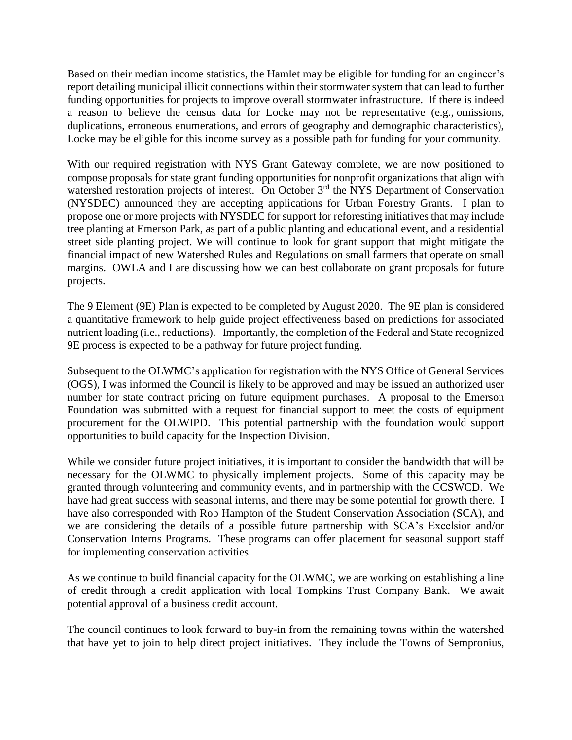Based on their median income statistics, the Hamlet may be eligible for funding for an engineer's report detailing municipal illicit connections within their stormwater system that can lead to further funding opportunities for projects to improve overall stormwater infrastructure. If there is indeed a reason to believe the census data for Locke may not be representative (e.g., omissions, duplications, erroneous enumerations, and errors of geography and demographic characteristics), Locke may be eligible for this income survey as a possible path for funding for your community.

With our required registration with NYS Grant Gateway complete, we are now positioned to compose proposals for state grant funding opportunities for nonprofit organizations that align with watershed restoration projects of interest. On October 3<sup>rd</sup> the NYS Department of Conservation (NYSDEC) announced they are accepting applications for Urban Forestry Grants. I plan to propose one or more projects with NYSDEC for support for reforesting initiatives that may include tree planting at Emerson Park, as part of a public planting and educational event, and a residential street side planting project. We will continue to look for grant support that might mitigate the financial impact of new Watershed Rules and Regulations on small farmers that operate on small margins. OWLA and I are discussing how we can best collaborate on grant proposals for future projects.

The 9 Element (9E) Plan is expected to be completed by August 2020. The 9E plan is considered a quantitative framework to help guide project effectiveness based on predictions for associated nutrient loading (i.e., reductions). Importantly, the completion of the Federal and State recognized 9E process is expected to be a pathway for future project funding.

Subsequent to the OLWMC's application for registration with the NYS Office of General Services (OGS), I was informed the Council is likely to be approved and may be issued an authorized user number for state contract pricing on future equipment purchases. A proposal to the Emerson Foundation was submitted with a request for financial support to meet the costs of equipment procurement for the OLWIPD. This potential partnership with the foundation would support opportunities to build capacity for the Inspection Division.

While we consider future project initiatives, it is important to consider the bandwidth that will be necessary for the OLWMC to physically implement projects. Some of this capacity may be granted through volunteering and community events, and in partnership with the CCSWCD. We have had great success with seasonal interns, and there may be some potential for growth there. I have also corresponded with Rob Hampton of the Student Conservation Association (SCA), and we are considering the details of a possible future partnership with SCA's Excelsior and/or Conservation Interns Programs. These programs can offer placement for seasonal support staff for implementing conservation activities.

As we continue to build financial capacity for the OLWMC, we are working on establishing a line of credit through a credit application with local Tompkins Trust Company Bank. We await potential approval of a business credit account.

The council continues to look forward to buy-in from the remaining towns within the watershed that have yet to join to help direct project initiatives. They include the Towns of Sempronius,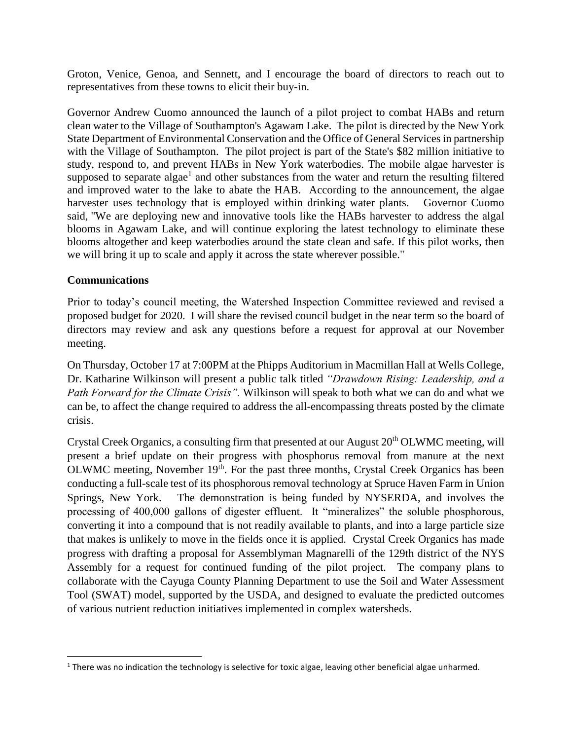Groton, Venice, Genoa, and Sennett, and I encourage the board of directors to reach out to representatives from these towns to elicit their buy-in.

Governor Andrew Cuomo announced the launch of a pilot project to combat HABs and return clean water to the Village of Southampton's Agawam Lake. The pilot is directed by the New York State Department of Environmental Conservation and the Office of General Services in partnership with the Village of Southampton. The pilot project is part of the State's \$82 million initiative to study, respond to, and prevent HABs in New York waterbodies. The mobile algae harvester is supposed to separate algae<sup>1</sup> and other substances from the water and return the resulting filtered and improved water to the lake to abate the HAB. According to the announcement, the algae harvester uses technology that is employed within drinking water plants. Governor Cuomo said, "We are deploying new and innovative tools like the HABs harvester to address the algal blooms in Agawam Lake, and will continue exploring the latest technology to eliminate these blooms altogether and keep waterbodies around the state clean and safe. If this pilot works, then we will bring it up to scale and apply it across the state wherever possible."

## **Communications**

 $\overline{a}$ 

Prior to today's council meeting, the Watershed Inspection Committee reviewed and revised a proposed budget for 2020. I will share the revised council budget in the near term so the board of directors may review and ask any questions before a request for approval at our November meeting.

On Thursday, October 17 at 7:00PM at the Phipps Auditorium in Macmillan Hall at Wells College, Dr. Katharine Wilkinson will present a public talk titled *"Drawdown Rising: Leadership, and a Path Forward for the Climate Crisis".* Wilkinson will speak to both what we can do and what we can be, to affect the change required to address the all-encompassing threats posted by the climate crisis.

Crystal Creek Organics, a consulting firm that presented at our August 20<sup>th</sup> OLWMC meeting, will present a brief update on their progress with phosphorus removal from manure at the next OLWMC meeting, November 19<sup>th</sup>. For the past three months, Crystal Creek Organics has been conducting a full-scale test of its phosphorous removal technology at Spruce Haven Farm in Union Springs, New York. The demonstration is being funded by NYSERDA, and involves the processing of 400,000 gallons of digester effluent. It "mineralizes" the soluble phosphorous, converting it into a compound that is not readily available to plants, and into a large particle size that makes is unlikely to move in the fields once it is applied. Crystal Creek Organics has made progress with drafting a proposal for Assemblyman Magnarelli of the 129th district of the NYS Assembly for a request for continued funding of the pilot project. The company plans to collaborate with the Cayuga County Planning Department to use the Soil and Water Assessment Tool (SWAT) model, supported by the USDA, and designed to evaluate the predicted outcomes of various nutrient reduction initiatives implemented in complex watersheds.

 $1$  There was no indication the technology is selective for toxic algae, leaving other beneficial algae unharmed.